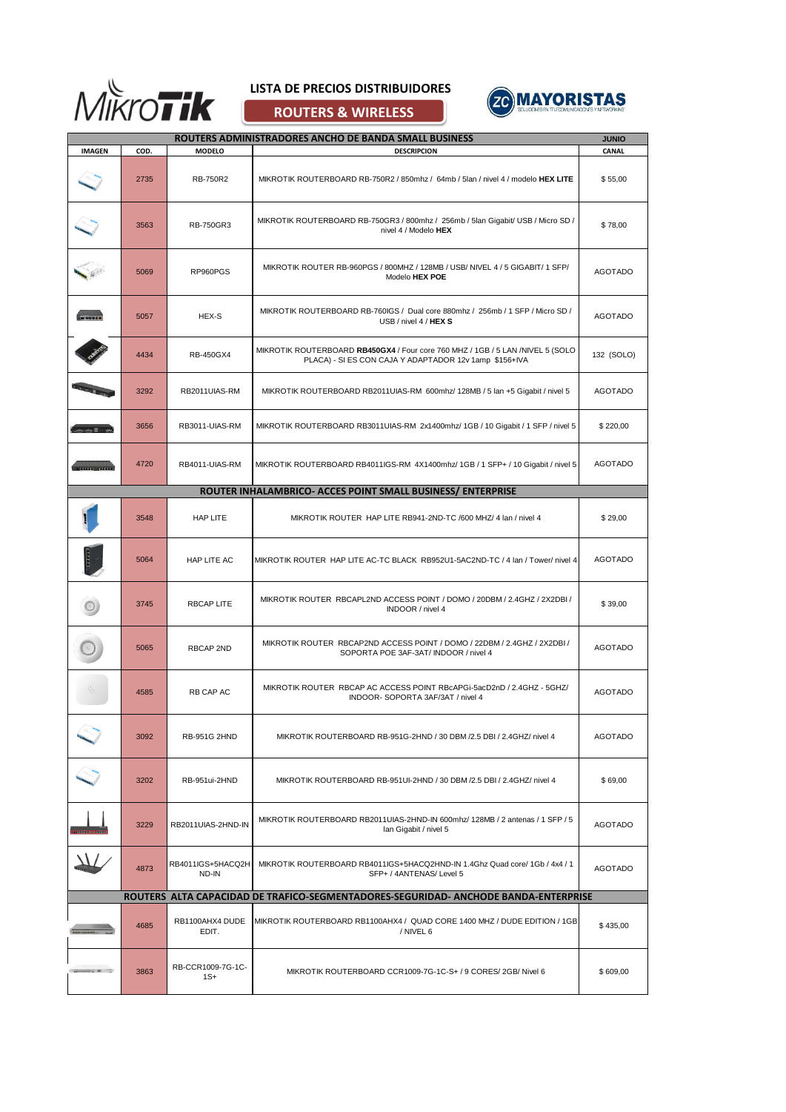

## **LISTA DE PRECIOS DISTRIBUIDORES**

**ROUTERS & WIRELESS**



|                                                                                     |      |                            | ROUTERS ADMINISTRADORES ANCHO DE BANDA SMALL BUSINESS                                                                                    | <b>JUNIO</b>   |
|-------------------------------------------------------------------------------------|------|----------------------------|------------------------------------------------------------------------------------------------------------------------------------------|----------------|
| <b>IMAGEN</b>                                                                       | COD. | <b>MODELO</b>              | <b>DESCRIPCION</b>                                                                                                                       | CANAL          |
|                                                                                     | 2735 | RB-750R2                   | MIKROTIK ROUTERBOARD RB-750R2 / 850mhz / 64mb / 5Ian / nivel 4 / modelo HEX LITE                                                         | \$55,00        |
|                                                                                     | 3563 | RB-750GR3                  | MIKROTIK ROUTERBOARD RB-750GR3 / 800mhz / 256mb / 5Ian Gigabit/ USB / Micro SD /<br>nivel 4 / Modelo HEX                                 | \$78,00        |
|                                                                                     | 5069 | RP960PGS                   | MIKROTIK ROUTER RB-960PGS / 800MHZ / 128MB / USB/ NIVEL 4 / 5 GIGABIT/ 1 SFP/<br>Modelo HEX POE                                          | <b>AGOTADO</b> |
|                                                                                     | 5057 | HEX-S                      | MIKROTIK ROUTERBOARD RB-760IGS / Dual core 880mhz / 256mb / 1 SFP / Micro SD /<br>USB / nivel 4 / HEX S                                  | <b>AGOTADO</b> |
|                                                                                     | 4434 | <b>RB-450GX4</b>           | MIKROTIK ROUTERBOARD RB450GX4 / Four core 760 MHZ / 1GB / 5 LAN /NIVEL 5 (SOLO<br>PLACA) - SI ES CON CAJA Y ADAPTADOR 12v 1amp \$156+IVA | 132 (SOLO)     |
|                                                                                     | 3292 | RB2011UIAS-RM              | MIKROTIK ROUTERBOARD RB2011UIAS-RM 600mhz/ 128MB / 5 Ian +5 Gigabit / nivel 5                                                            | <b>AGOTADO</b> |
|                                                                                     | 3656 | RB3011-UIAS-RM             | MIKROTIK ROUTERBOARD RB3011UIAS-RM 2x1400mhz/ 1GB / 10 Gigabit / 1 SFP / nivel 5                                                         | \$220,00       |
| .                                                                                   | 4720 | RB4011-UIAS-RM             | MIKROTIK ROUTERBOARD RB4011IGS-RM 4X1400mhz/ 1GB / 1 SFP+ / 10 Gigabit / nivel 5                                                         | <b>AGOTADO</b> |
|                                                                                     |      |                            | ROUTER INHALAMBRICO- ACCES POINT SMALL BUSINESS/ ENTERPRISE                                                                              |                |
|                                                                                     | 3548 | HAP LITE                   | MIKROTIK ROUTER HAP LITE RB941-2ND-TC /600 MHZ/ 4 Ian / nivel 4                                                                          | \$29,00        |
|                                                                                     | 5064 | HAP LITE AC                | MIKROTIK ROUTER HAP LITE AC-TC BLACK RB952U1-5AC2ND-TC / 4 Ian / Tower/ nivel 4                                                          | <b>AGOTADO</b> |
|                                                                                     | 3745 | <b>RBCAP LITE</b>          | MIKROTIK ROUTER RBCAPL2ND ACCESS POINT / DOMO / 20DBM / 2.4GHZ / 2X2DBI /<br>INDOOR / nivel 4                                            | \$39,00        |
|                                                                                     | 5065 | <b>RBCAP 2ND</b>           | MIKROTIK ROUTER RBCAP2ND ACCESS POINT / DOMO / 22DBM / 2.4GHZ / 2X2DBI /<br>SOPORTA POE 3AF-3AT/ INDOOR / nivel 4                        | <b>AGOTADO</b> |
|                                                                                     | 4585 | RB CAP AC                  | MIKROTIK ROUTER RBCAP AC ACCESS POINT RBcAPGi-5acD2nD / 2.4GHZ - 5GHZ/<br>INDOOR- SOPORTA 3AF/3AT / nivel 4                              | <b>AGOTADO</b> |
|                                                                                     | 3092 | <b>RB-951G 2HND</b>        | MIKROTIK ROUTERBOARD RB-951G-2HND / 30 DBM / 2.5 DBI / 2.4GHZ/ nivel 4                                                                   | <b>AGOTADO</b> |
|                                                                                     | 3202 | RB-951ui-2HND              | MIKROTIK ROUTERBOARD RB-951UI-2HND / 30 DBM / 2.5 DBI / 2.4GHZ/ nivel 4                                                                  | \$69,00        |
|                                                                                     | 3229 | RB2011UIAS-2HND-IN         | MIKROTIK ROUTERBOARD RB2011UIAS-2HND-IN 600mhz/ 128MB / 2 antenas / 1 SFP / 5<br>Ian Gigabit / nivel 5                                   | <b>AGOTADO</b> |
|                                                                                     | 4873 | RB4011IGS+5HACQ2H<br>ND-IN | MIKROTIK ROUTERBOARD RB4011IGS+5HACQ2HND-IN 1.4Ghz Quad core/ 1Gb / 4x4 / 1<br>SFP+ / 4ANTENAS/ Level 5                                  | <b>AGOTADO</b> |
| ROUTERS ALTA CAPACIDAD DE TRAFICO-SEGMENTADORES-SEGURIDAD- ANCHODE BANDA-ENTERPRISE |      |                            |                                                                                                                                          |                |
|                                                                                     | 4685 | RB1100AHX4 DUDE<br>EDIT.   | MIKROTIK ROUTERBOARD RB1100AHX4 / QUAD CORE 1400 MHZ / DUDE EDITION / 1GB<br>/ NIVEL 6                                                   | \$435,00       |
| <b>STORY BY THE</b>                                                                 | 3863 | RB-CCR1009-7G-1C-<br>1S+   | MIKROTIK ROUTERBOARD CCR1009-7G-1C-S+ / 9 CORES/ 2GB/ Nivel 6                                                                            | \$609,00       |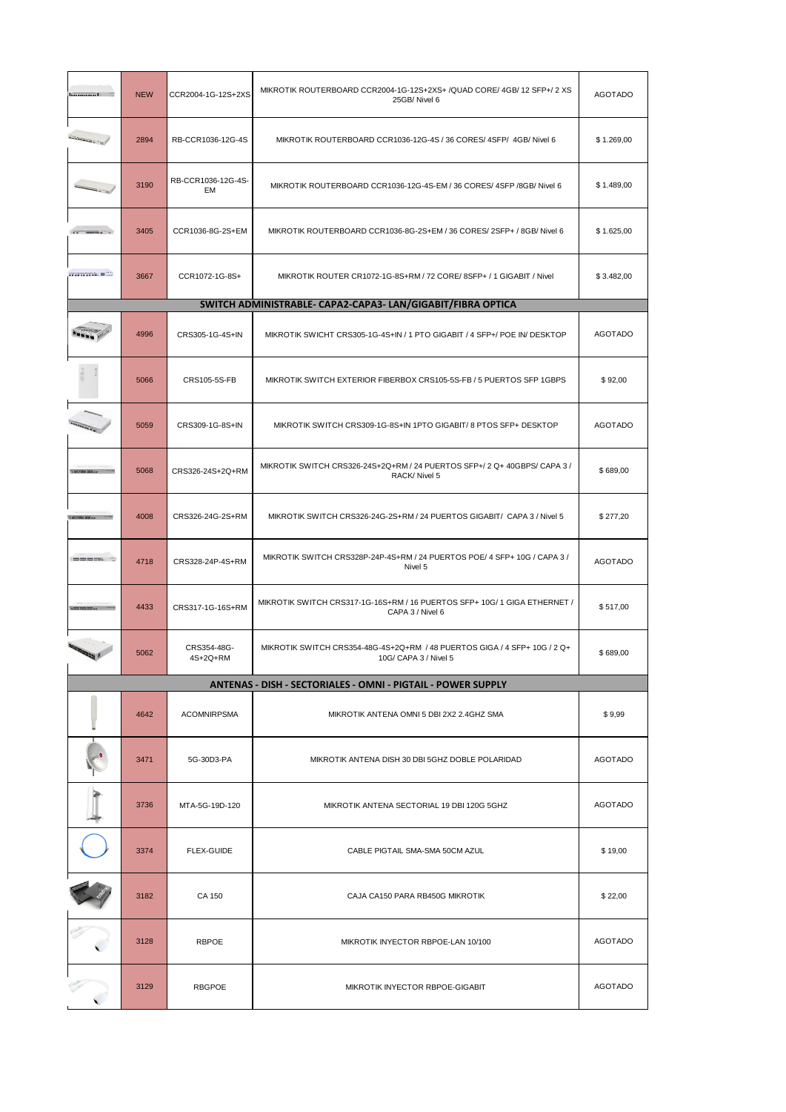| Territorian de              | <b>NEW</b> | CCR2004-1G-12S+2XS       | MIKROTIK ROUTERBOARD CCR2004-1G-12S+2XS+ /QUAD CORE/ 4GB/ 12 SFP+/ 2 XS<br>25GB/Nivel 6            | <b>AGOTADO</b> |
|-----------------------------|------------|--------------------------|----------------------------------------------------------------------------------------------------|----------------|
|                             | 2894       | RB-CCR1036-12G-4S        | MIKROTIK ROUTERBOARD CCR1036-12G-4S / 36 CORES/ 4SFP/ 4GB/ Nivel 6                                 | \$1.269,00     |
| actus)                      | 3190       | RB-CCR1036-12G-4S-<br>EM | MIKROTIK ROUTERBOARD CCR1036-12G-4S-EM / 36 CORES/ 4SFP / 8GB/ Nivel 6                             | \$1.489,00     |
| <b>STATISTICS</b>           | 3405       | CCR1036-8G-2S+EM         | MIKROTIK ROUTERBOARD CCR1036-8G-2S+EM / 36 CORES/ 2SFP+ / 8GB/ Nivel 6                             | \$1.625,00     |
| STORY TO THE REAL PROPERTY. | 3667       | CCR1072-1G-8S+           | MIKROTIK ROUTER CR1072-1G-8S+RM / 72 CORE/ 8SFP+ / 1 GIGABIT / Nivel                               | \$3.482,00     |
|                             |            |                          | SWITCH ADMINISTRABLE- CAPA2-CAPA3- LAN/GIGABIT/FIBRA OPTICA                                        |                |
|                             | 4996       | CRS305-1G-4S+IN          | MIKROTIK SWICHT CRS305-1G-4S+IN / 1 PTO GIGABIT / 4 SFP+/ POE IN/ DESKTOP                          | <b>AGOTADO</b> |
|                             | 5066       | CRS105-5S-FB             | MIKROTIK SWITCH EXTERIOR FIBERBOX CRS105-5S-FB / 5 PUERTOS SFP 1GBPS                               | \$92,00        |
|                             | 5059       | CRS309-1G-8S+IN          | MIKROTIK SWITCH CRS309-1G-8S+IN 1PTO GIGABIT/8 PTOS SFP+ DESKTOP                                   | <b>AGOTADO</b> |
| LOUISIN MN                  | 5068       | CRS326-24S+2Q+RM         | MIKROTIK SWITCH CRS326-24S+2Q+RM / 24 PUERTOS SFP+/ 2 Q+ 40GBPS/ CAPA 3 /<br>RACK/ Nivel 5         | \$689,00       |
|                             | 4008       | CRS326-24G-2S+RM         | MIKROTIK SWITCH CRS326-24G-2S+RM / 24 PUERTOS GIGABIT/ CAPA 3 / Nivel 5                            | \$277,20       |
| 2000 2000 2000 201000       | 4718       | CRS328-24P-4S+RM         | MIKROTIK SWITCH CRS328P-24P-4S+RM / 24 PUERTOS POE/ 4 SFP+ 10G / CAPA 3 /<br>Nivel 5               | <b>AGOTADO</b> |
|                             | 4433       | CRS317-1G-16S+RM         | MIKROTIK SWITCH CRS317-1G-16S+RM / 16 PUERTOS SFP+ 10G/ 1 GIGA ETHERNET /<br>CAPA 3 / Nivel 6      | \$517,00       |
|                             | 5062       | CRS354-48G-<br>4S+2Q+RM  | MIKROTIK SWITCH CRS354-48G-4S+2Q+RM / 48 PUERTOS GIGA / 4 SFP+ 10G / 2 Q+<br>10G/ CAPA 3 / Nivel 5 | \$689,00       |
|                             |            |                          | <b>ANTENAS - DISH - SECTORIALES - OMNI - PIGTAIL - POWER SUPPLY</b>                                |                |
|                             | 4642       | <b>ACOMNIRPSMA</b>       | MIKROTIK ANTENA OMNI 5 DBI 2X2 2.4GHZ SMA                                                          | \$9,99         |
|                             | 3471       | 5G-30D3-PA               | MIKROTIK ANTENA DISH 30 DBI 5GHZ DOBLE POLARIDAD                                                   | AGOTADO        |
|                             | 3736       | MTA-5G-19D-120           | MIKROTIK ANTENA SECTORIAL 19 DBI 120G 5GHZ                                                         | AGOTADO        |
|                             | 3374       | <b>FLEX-GUIDE</b>        | CABLE PIGTAIL SMA-SMA 50CM AZUL                                                                    | \$19,00        |
|                             | 3182       | CA 150                   | CAJA CA150 PARA RB450G MIKROTIK                                                                    | \$22,00        |
|                             | 3128       | RBPOE                    | MIKROTIK INYECTOR RBPOE-LAN 10/100                                                                 | <b>AGOTADO</b> |
|                             | 3129       | RBGPOE                   | MIKROTIK INYECTOR RBPOE-GIGABIT                                                                    | <b>AGOTADO</b> |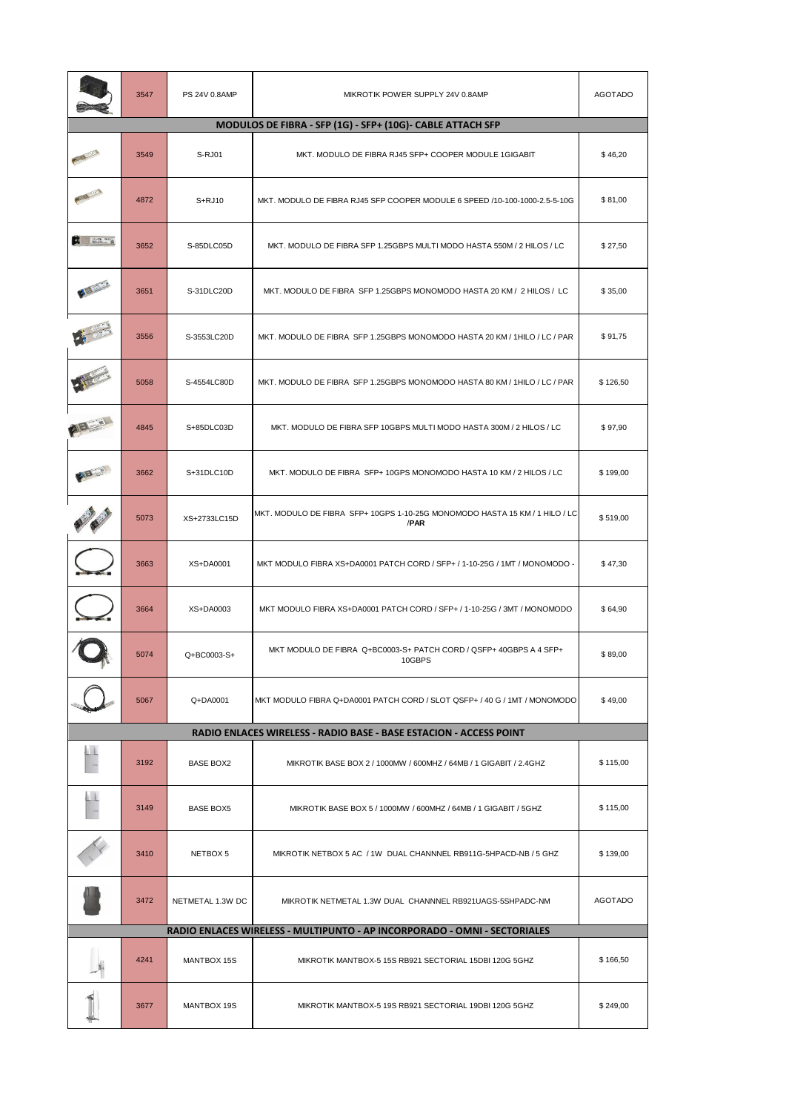|                                                            | 3547 | PS 24V 0.8AMP    | MIKROTIK POWER SUPPLY 24V 0.8AMP                                                    | <b>AGOTADO</b> |  |
|------------------------------------------------------------|------|------------------|-------------------------------------------------------------------------------------|----------------|--|
| MODULOS DE FIBRA - SFP (1G) - SFP+ (10G)- CABLE ATTACH SFP |      |                  |                                                                                     |                |  |
|                                                            | 3549 | S-RJ01           | MKT. MODULO DE FIBRA RJ45 SFP+ COOPER MODULE 1GIGABIT                               | \$46,20        |  |
|                                                            | 4872 | $S+RJ10$         | MKT. MODULO DE FIBRA RJ45 SFP COOPER MODULE 6 SPEED /10-100-1000-2.5-5-10G          | \$81,00        |  |
| <b>CONTRACTOR</b>                                          | 3652 | S-85DLC05D       | MKT. MODULO DE FIBRA SFP 1.25GBPS MULTI MODO HASTA 550M / 2 HILOS / LC              | \$27,50        |  |
|                                                            | 3651 | S-31DLC20D       | MKT. MODULO DE FIBRA SFP 1.25GBPS MONOMODO HASTA 20 KM / 2 HILOS / LC               | \$35,00        |  |
|                                                            | 3556 | S-3553LC20D      | MKT. MODULO DE FIBRA SFP 1.25GBPS MONOMODO HASTA 20 KM / 1HILO / LC / PAR           | \$91,75        |  |
|                                                            | 5058 | S-4554LC80D      | MKT. MODULO DE FIBRA SFP 1.25GBPS MONOMODO HASTA 80 KM / 1HILO / LC / PAR           | \$126,50       |  |
|                                                            | 4845 | S+85DLC03D       | MKT, MODULO DE FIBRA SFP 10GBPS MULTI MODO HASTA 300M / 2 HILOS / LC                | \$97,90        |  |
|                                                            | 3662 | S+31DLC10D       | MKT. MODULO DE FIBRA SFP+ 10GPS MONOMODO HASTA 10 KM / 2 HILOS / LC                 | \$199,00       |  |
|                                                            | 5073 | XS+2733LC15D     | MKT. MODULO DE FIBRA SFP+ 10GPS 1-10-25G MONOMODO HASTA 15 KM / 1 HILO / LC<br>/PAR | \$519,00       |  |
|                                                            | 3663 | XS+DA0001        | MKT MODULO FIBRA XS+DA0001 PATCH CORD / SFP+ / 1-10-25G / 1MT / MONOMODO -          | \$47,30        |  |
|                                                            | 3664 | XS+DA0003        | MKT MODULO FIBRA XS+DA0001 PATCH CORD / SFP+ / 1-10-25G / 3MT / MONOMODO            | \$64,90        |  |
|                                                            | 5074 | Q+BC0003-S+      | MKT MODULO DE FIBRA Q+BC0003-S+ PATCH CORD / QSFP+ 40GBPS A 4 SFP+<br>10GBPS        | \$89,00        |  |
|                                                            | 5067 | Q+DA0001         | MKT MODULO FIBRA Q+DA0001 PATCH CORD / SLOT QSFP+ / 40 G / 1MT / MONOMODO           | \$49,00        |  |
|                                                            |      |                  | RADIO ENLACES WIRELESS - RADIO BASE - BASE ESTACION - ACCESS POINT                  |                |  |
|                                                            | 3192 | BASE BOX2        | MIKROTIK BASE BOX 2 / 1000MW / 600MHZ / 64MB / 1 GIGABIT / 2.4GHZ                   | \$115,00       |  |
|                                                            | 3149 | <b>BASE BOX5</b> | MIKROTIK BASE BOX 5 / 1000MW / 600MHZ / 64MB / 1 GIGABIT / 5GHZ                     | \$115,00       |  |
|                                                            | 3410 | NETBOX 5         | MIKROTIK NETBOX 5 AC / 1W DUAL CHANNNEL RB911G-5HPACD-NB / 5 GHZ                    | \$139,00       |  |
|                                                            | 3472 | NETMETAL 1.3W DC | MIKROTIK NETMETAL 1.3W DUAL CHANNNEL RB921UAGS-5SHPADC-NM                           | AGOTADO        |  |
|                                                            |      |                  | RADIO ENLACES WIRELESS - MULTIPUNTO - AP INCORPORADO - OMNI - SECTORIALES           |                |  |
|                                                            | 4241 | MANTBOX 15S      | MIKROTIK MANTBOX-5 15S RB921 SECTORIAL 15DBI 120G 5GHZ                              | \$166,50       |  |
|                                                            | 3677 | MANTBOX 19S      | MIKROTIK MANTBOX-5 19S RB921 SECTORIAL 19DBI 120G 5GHZ                              | \$249,00       |  |